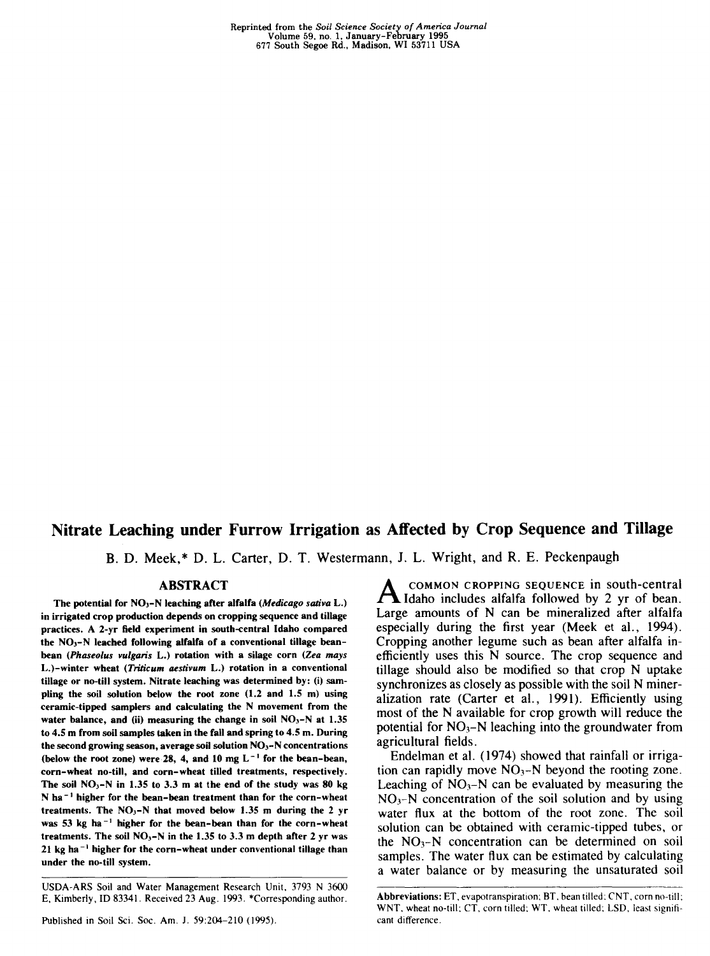Reprinted from the *Soil Science Society of America Journal* Volume 59, no. 1, January-February 1995 677 South Segoe Rd., Madison, WI 53711 USA

# **Nitrate Leaching under Furrow Irrigation as Affected by Crop Sequence and Tillage**

B. D. Meek,\* D. L. Carter, D. T. Westermann, J. L. Wright, and R. E. Peckenpaugh

## **ABSTRACT**

The potential for NO3-N leaching after alfalfa *(Medicago saliva* L.) in irrigated crop production depends on cropping sequence and tillage practices. A 2-yr field experiment in south-central Idaho compared the  $NO<sub>3</sub>-N$  leached following alfalfa of a conventional tillage beanbean *(Phaseolus vulgaris* L.) rotation with a silage corn *(Zea mays* L.)-winter wheat *(Trilicum aeslivum* L.) rotation in a conventional tillage or no-till system. Nitrate leaching was determined by: (i) sampling the soil solution below the root zone (1.2 and 1.5 m) using ceramic-tipped samplers and calculating the N movement from the water balance, and (ii) measuring the change in soil  $NO<sub>3</sub>-N$  at 1.35 to 4.5 m from soil samples taken in the fall and spring to 4.5 m. During the second growing season, average soil solution  $NO<sub>3</sub> - N$  concentrations (below the root zone) were 28, 4, and 10 mg  $L^{-1}$  for the bean-bean, corn-wheat no-till, and corn-wheat tilled treatments, respectively. The soil  $NO_3-N$  in 1.35 to 3.3 m at the end of the study was 80 kg N ha<sup> $-1$ </sup> higher for the bean-bean treatment than for the corn-wheat treatments. The  $NO_3-N$  that moved below 1.35 m during the 2 yr was 53 kg ha<sup> $-1$ </sup> higher for the bean-bean than for the corn-wheat treatments. The soil  $NO<sub>3</sub>-N$  in the 1.35 to 3.3 m depth after 2 yr was  $21$  kg ha<sup> $-1$ </sup> higher for the corn-wheat under conventional tillage than under the no-till system.

Published in Soil Sci. Soc. Am. J. 59:204-210 (1995).

**A** COMMON CROPPING SEQUENCE in south-central<br>Large amounts of N can be mineralized after alfalfa COMMON CROPPING SEQUENCE in south-central Idaho includes alfalfa followed by 2 yr of bean. especially during the first year (Meek et al., 1994). Cropping another legume such as bean after alfalfa inefficiently uses this N source. The crop sequence and tillage should also be modified so that crop N uptake synchronizes as closely as possible with the soil N mineralization rate (Carter et al., 1991). Efficiently using most of the N available for crop growth will reduce the potential for  $NO_3-N$  leaching into the groundwater from agricultural fields.

Endelman et al. (1974) showed that rainfall or irrigation can rapidly move  $NO_3-N$  beyond the rooting zone. Leaching of  $NO_3 - N$  can be evaluated by measuring the  $NO<sub>3</sub>–N$  concentration of the soil solution and by using water flux at the bottom of the root zone. The soil solution can be obtained with ceramic-tipped tubes, or the  $NO<sub>3</sub>-N$  concentration can be determined on soil samples. The water flux can be estimated by calculating a water balance or by measuring the unsaturated soil

USDA-ARS Soil and Water Management Research Unit, 3793 N 3600 E, Kimberly, ID 83341. Received 23 Aug. 1993. \*Corresponding author.

Abbreviations: ET, evapotranspiration: BT, bean tilled: CNT, corn no-till: WNT, wheat no-till; CT, corn tilled; WT, wheat tilled; LSD, least significant difference.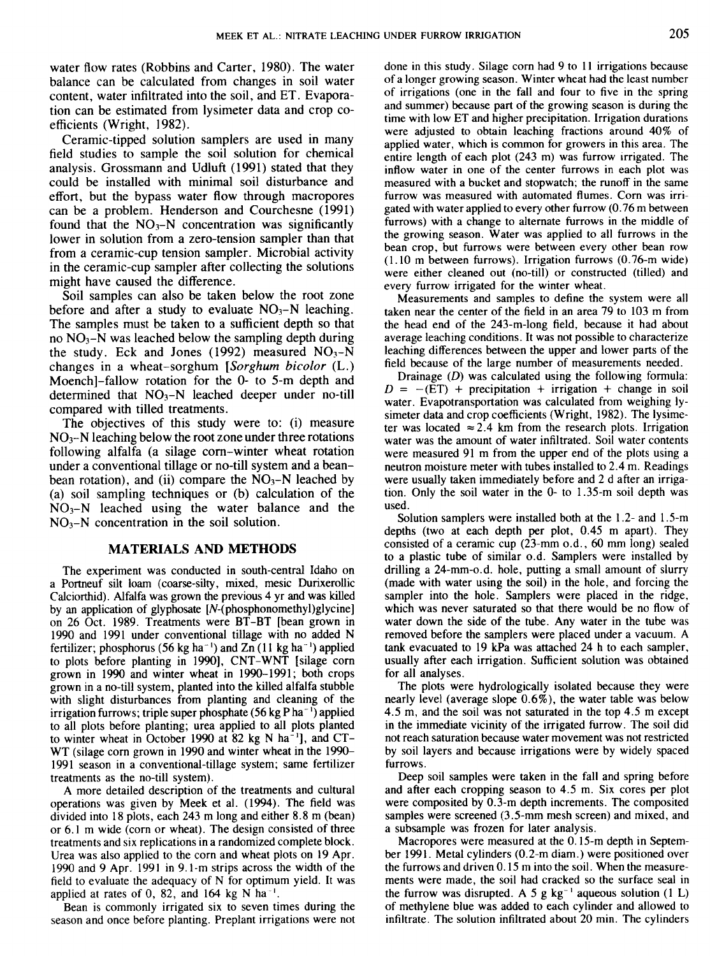water flow rates (Robbins and Carter, 1980). The water balance can be calculated from changes in soil water content, water infiltrated into the soil, and ET. Evaporation can be estimated from lysimeter data and crop coefficients (Wright, 1982).

Ceramic-tipped solution samplers are used in many field studies to sample the soil solution for chemical analysis. Grossmann and Udluft (1991) stated that they could be installed with minimal soil disturbance and effort, but the bypass water flow through macropores can be a problem. Henderson and Courchesne (1991) found that the  $NO<sub>3</sub>-N$  concentration was significantly lower in solution from a zero-tension sampler than that from a ceramic-cup tension sampler. Microbial activity in the ceramic-cup sampler after collecting the solutions might have caused the difference.

Soil samples can also be taken below the root zone before and after a study to evaluate  $NO<sub>3</sub>–N$  leaching. The samples must be taken to a sufficient depth so that no  $NO<sub>3</sub>-N$  was leached below the sampling depth during the study. Eck and Jones (1992) measured  $NO<sub>3</sub>-N$ changes in a wheat-sorghum *[Sorghum bicolor* (L.) Moench]-fallow rotation for the 0- to 5-m depth and determined that  $NO<sub>3</sub>-N$  leached deeper under no-till compared with tilled treatments.

The objectives of this study were to: (i) measure  $NO<sub>3</sub>–N$  leaching below the root zone under three rotations following alfalfa (a silage corn-winter wheat rotation under a conventional tillage or no-till system and a beanbean rotation), and (ii) compare the  $NO<sub>3</sub>-N$  leached by (a) soil sampling techniques or (b) calculation of the  $NO<sub>3</sub>–N$  leached using the water balance and the  $NO<sub>3</sub>–N$  concentration in the soil solution.

## **MATERIALS AND METHODS**

The experiment was conducted in south-central Idaho on a Portneuf silt loam (coarse-silty, mixed, mesic Durixerollic Calciorthid). Alfalfa was grown the previous 4 yr and was killed by an application of glyphosate [N-(phosphonomethyl)glycine] on 26 Oct. 1989. Treatments were BT-BT [bean grown in 1990 and 1991 under conventional tillage with no added N fertilizer; phosphorus (56 kg ha<sup>-1</sup>) and  $Zn$  (11 kg ha<sup>-1</sup>) applied to plots before planting in 1990], CNT-WNT [silage corn grown in 1990 and winter wheat in 1990-1991; both crops grown in a no-till system, planted into the killed alfalfa stubble with slight disturbances from planting and cleaning of the irrigation furrows; triple super phosphate (56 kg P ha<sup>-1</sup>) applied to all plots before planting; urea applied to all plots planted to winter wheat in October 1990 at 82 kg N ha $^{-1}$ ], and CT-WT (silage corn grown in 1990 and winter wheat in the 1990- 1991 season in a conventional-tillage system; same fertilizer treatments as the no-till system).

A more detailed description of the treatments and cultural operations was given by Meek et al. (1994). The field was divided into 18 plots, each 243 m long and either 8.8 m (bean) or 6.1 m wide (corn or wheat). The design consisted of three treatments and six replications in a randomized complete block. Urea was also applied to the corn and wheat plots on 19 Apr. 1990 and 9 Apr. 1991 in 9.1-m strips across the width of the field to evaluate the adequacy of N for optimum yield. It was applied at rates of 0, 82, and 164 kg N ha<sup> $-1$ </sup>.

Bean is commonly irrigated six to seven times during the season and once before planting. Preplant irrigations were not

done in this study. Silage corn had 9 to 11 irrigations because of a longer growing season. Winter wheat had the least number of irrigations (one in the fall and four to five in the spring and summer) because part of the growing season is during the time with low ET and higher precipitation. Irrigation durations were adjusted to obtain leaching fractions around 40% of applied water, which is common for growers in this area. The entire length of each plot (243 m) was furrow irrigated. The inflow water in one of the center furrows in each plot was measured with a bucket and stopwatch; the runoff in the same furrow was measured with automated flumes. Corn was irrigated with water applied to every other furrow (0.76 m between furrows) with a change to alternate furrows in the middle of the growing season. Water was applied to all furrows in the bean crop, but furrows were between every other bean row (1.10 m between furrows). Irrigation furrows (0.76-m wide) were either cleaned out (no-till) or constructed (tilled) and every furrow irrigated for the winter wheat.

Measurements and samples to define the system were all taken near the center of the field in an area 79 to 103 m from the head end of the 243-m-long field, because it had about average leaching conditions. It was not possible to characterize leaching differences between the upper and lower parts of the field because of the large number of measurements needed.

Drainage *(D)* was calculated using the following formula:  $D = - (ET) + \text{precipitation} + \text{irrigation} + \text{change in soil}$ water. Evapotransportation was calculated from weighing lysimeter data and crop coefficients (Wright, 1982). The lysimeter was located  $\approx 2.4$  km from the research plots. Irrigation water was the amount of water infiltrated. Soil water contents were measured 91 m from the upper end of the plots using a neutron moisture meter with tubes installed to 2.4 m. Readings were usually taken immediately before and 2 d after an irrigation. Only the soil water in the 0- to 1.35-m soil depth was used.

Solution samplers were installed both at the 1.2- and 1.5-m depths (two at each depth per plot, 0.45 m apart). They consisted of a ceramic cup (23-mm o.d., 60 mm long) sealed to a plastic tube of similar o.d. Samplers were installed by drilling a 24-mm-o.d. hole, putting a small amount of slurry (made with water using the soil) in the hole, and forcing the sampler into the hole. Samplers were placed in the ridge, which was never saturated so that there would be no flow of water down the side of the tube. Any water in the tube was removed before the samplers were placed under a vacuum. A tank evacuated to 19 kPa was attached 24 h to each sampler, usually after each irrigation. Sufficient solution was obtained for all analyses.

The plots were hydrologically isolated because they were nearly level (average slope 0.6%), the water table was below 4.5 m, and the soil was not saturated in the top 4.5 m except in the immediate vicinity of the irrigated furrow. The soil did not reach saturation because water movement was not restricted by soil layers and because irrigations were by widely spaced furrows.

Deep soil samples were taken in the fall and spring before and after each cropping season to 4.5 m. Six cores per plot were composited by 0.3-m depth increments. The composited samples were screened (3.5-mm mesh screen) and mixed, and a subsample was frozen for later analysis.

Macropores were measured at the 0.15-m depth in September 1991. Metal cylinders (0.2-m diam.) were positioned over the furrows and driven 0.15 m into the soil. When the measurements were made, the soil had cracked so the surface seal in the furrow was disrupted. A 5 g kg<sup>-1</sup> aqueous solution  $(1 L)$ of methylene blue was added to each cylinder and allowed to infiltrate. The solution infiltrated about 20 min. The cylinders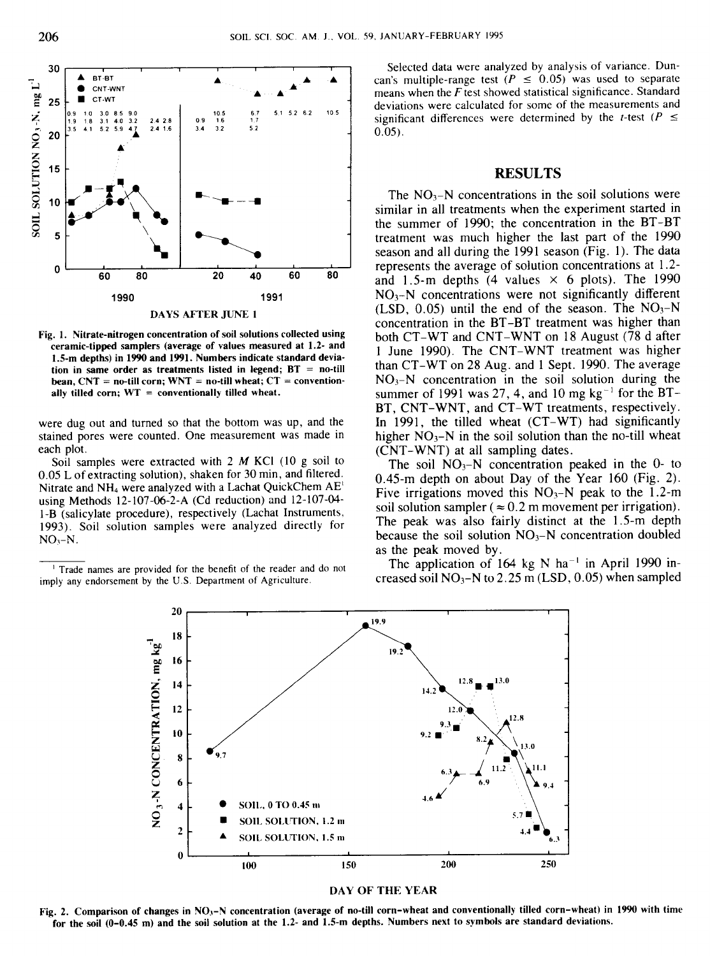

Fig. 1. Nitrate-nitrogen concentration of soil solutions collected using ceramic-tipped samplers (average of values measured at 1.2- and 1.5-m depths) in 1990 and 1991. Numbers indicate standard deviation in same order as treatments listed in legend;  $BT = no-till$ bean,  $CNT =$  no-till corn;  $WNT =$  no-till wheat;  $CT =$  conventionally tilled corn;  $WT =$  conventionally tilled wheat.

were dug out and turned so that the bottom was up, and the stained pores were counted. One measurement was made in each plot.

Soil samples were extracted with 2 *M* KCI (10 g soil to 0.05 L of extracting solution), shaken for 30 min, and filtered. Nitrate and NH4 were analyzed with a Lachat QuickChem AE' using Methods 12-107-06-2-A (Cd reduction) and 12-107-04- 1-B (salicylate procedure), respectively (Lachat Instruments, 1993). Soil solution samples were analyzed directly for  $NO<sub>3</sub>-N$ .

<sup>1</sup> Trade names are provided for the benefit of the reader and do not imply any endorsement by the U.S. Department of Agriculture.

Selected data were analyzed by analysis of variance. Duncan's multiple-range test  $(P \le 0.05)$  was used to separate means when the *F* test showed statistical significance. Standard deviations were calculated for some of the measurements and significant differences were determined by the *t*-test  $(P \leq$ 0.05).

## **RESULTS**

The  $NO<sub>3</sub>-N$  concentrations in the soil solutions were similar in all treatments when the experiment started in the summer of 1990; the concentration in the BT-BT treatment was much higher the last part of the 1990 season and all during the 1991 season (Fig. 1). The data represents the average of solution concentrations at 1.2 and 1.5-m depths (4 values  $\times$  6 plots). The 1990  $NO<sub>3</sub>–N$  concentrations were not significantly different (LSD,  $0.05$ ) until the end of the season. The NO<sub>3</sub>-N concentration in the BT-BT treatment was higher than both CT-WT and CNT-WNT on 18 August (78 d after 1 June 1990). The CNT-WNT treatment was higher than CT-WT on 28 Aug. and 1 Sept. 1990. The average  $NO<sub>3</sub>-N$  concentration in the soil solution during the summer of 1991 was 27, 4, and 10 mg  $kg^{-1}$  for the BT-BT, CNT-WNT, and CT-WT treatments, respectively. In 1991, the tilled wheat (CT-WT) had significantly higher  $NO<sub>3</sub>-N$  in the soil solution than the no-till wheat (CNT-WNT) at all sampling dates.

The soil  $NO<sub>3</sub>-N$  concentration peaked in the 0- to 0.45-m depth on about Day of the Year 160 (Fig. 2). Five irrigations moved this  $NO<sub>3</sub>-N$  peak to the 1.2-m soil solution sampler ( $\approx 0.2$  m movement per irrigation). The peak was also fairly distinct at the 1.5-m depth because the soil solution  $NO<sub>3</sub>-N$  concentration doubled as the peak moved by.

The application of 164 kg N ha<sup>-1</sup> in April 1990 increased soil  $NO<sub>3</sub>–N$  to 2.25 m (LSD, 0.05) when sampled



#### DAY OF THE YEAR

Fig. 2. Comparison of changes in NO<sub>3</sub>-N concentration (average of no-till corn-wheat and conventionally tilled corn-wheat) in 1990 with time for the soil (0-0.45 m) and the soil solution at the 1.2- and 1.5-m depths. Numbers next to symbols are standard deviations.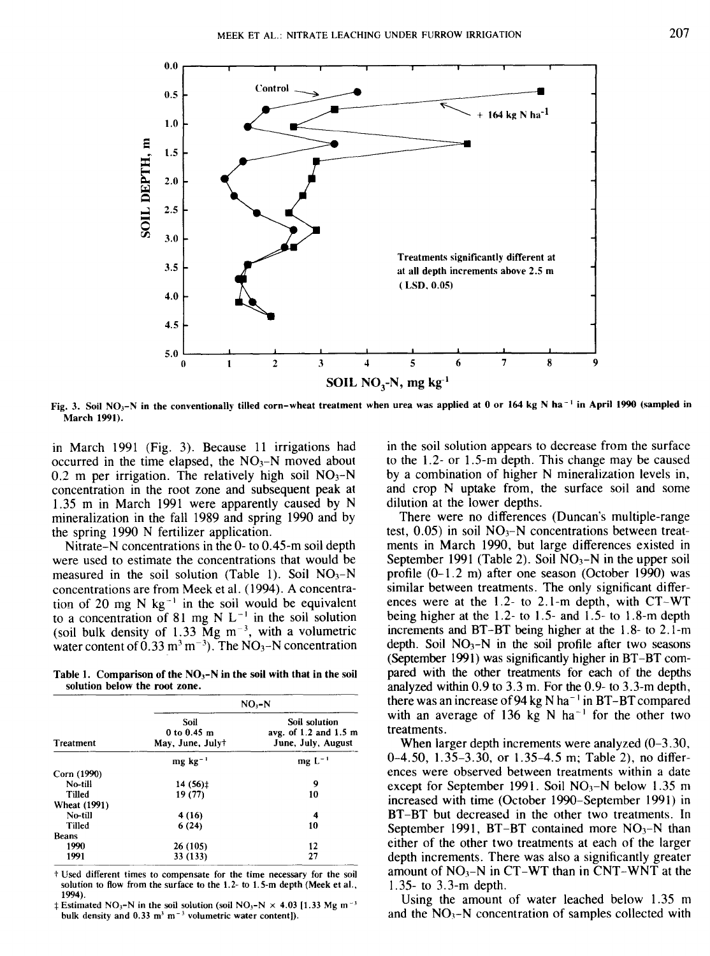

Fig. 3. Soil NO<sup>3</sup> -N in the conventionally tilled corn-wheat treatment when urea was applied at 0 or 164 kg N **ha-'** in April **1990 (sampled in** March 1991).

in March 1991 (Fig. 3). Because 11 irrigations had occurred in the time elapsed, the  $NO<sub>3</sub>-N$  moved about  $0.2$  m per irrigation. The relatively high soil  $NO<sub>3</sub>-N$ concentration in the root zone and subsequent peak at 1.35 m in March 1991 were apparently caused by N mineralization in the fall 1989 and spring 1990 and by the spring 1990 N fertilizer application.

Nitrate-N concentrations in the 0- to 0.45-m soil depth were used to estimate the concentrations that would be measured in the soil solution (Table 1). Soil  $NO<sub>3</sub>-N$ concentrations are from Meek et al. (1994). A concentration of 20 mg N  $kg^{-1}$  in the soil would be equivalent to a concentration of 81 mg N  $L^{-1}$  in the soil solution (soil bulk density of  $1.33 \text{ Mg m}^{-3}$ , with a volumetric water content of  $0.33 \text{ m}^3 \text{ m}^{-3}$ ). The NO<sub>3</sub>-N concentration

Table 1. Comparison of the NO<sub>3</sub>-N in the soil with that in the soil **solution below the root zone.**

|                     | $NO, -N$                                |                                                              |  |  |  |  |  |
|---------------------|-----------------------------------------|--------------------------------------------------------------|--|--|--|--|--|
| <b>Treatment</b>    | Soil<br>0 to 0.45 m<br>May, June, July† | Soil solution<br>avg. of 1.2 and 1.5 m<br>June, July, August |  |  |  |  |  |
|                     | $mg$ kg <sup>-1</sup>                   | $mg L^{-1}$                                                  |  |  |  |  |  |
| Corn (1990)         |                                         |                                                              |  |  |  |  |  |
| No-till             | 14 (56)‡                                | 9                                                            |  |  |  |  |  |
| Tilled              | 19 (77)                                 | 10                                                           |  |  |  |  |  |
| <b>Wheat (1991)</b> |                                         |                                                              |  |  |  |  |  |
| No-till             | 4 (16)                                  | 4                                                            |  |  |  |  |  |
| Tilled              | 6(24)                                   | 10                                                           |  |  |  |  |  |
| <b>Beans</b>        |                                         |                                                              |  |  |  |  |  |
| 1990                | 26 (105)                                | 12                                                           |  |  |  |  |  |
| 1991                | 33 (133)                                | 27                                                           |  |  |  |  |  |

t Used different times to compensate for the time necessary for the soil solution to flow from the surface to the 1.2- to 1.5-m depth (Meek et al., 1994).

 $\ddagger$  Estimated NO<sub>3</sub>-N in the soil solution (soil NO<sub>3</sub>-N  $\times$  4.03 [1.33 Mg m<sup>-3</sup>] bulk density and  $0.33 \text{ m}^3 \text{ m}^{-3}$  volumetric water content]).

in the soil solution appears to decrease from the surface to the 1.2- or 1.5-m depth. This change may be caused by a combination of higher N mineralization levels in, and crop N uptake from, the surface soil and some dilution at the lower depths.

There were no differences (Duncan's multiple-range test,  $0.05$ ) in soil  $NO<sub>3</sub>–N$  concentrations between treatments in March 1990, but large differences existed in September 1991 (Table 2). Soil  $NO<sub>3</sub>-N$  in the upper soil profile (0-1.2 m) after one season (October 1990) was similar between treatments. The only significant differences were at the 1.2- to 2.1-m depth, with CT-WT being higher at the 1.2- to 1.5- and 1.5- to 1.8-m depth increments and BT-BT being higher at the 1.8- to 2.1-m depth. Soil  $NO<sub>3</sub>-N$  in the soil profile after two seasons (September 1991) was significantly higher in BT-BT compared with the other treatments for each of the depths analyzed within 0.9 to 3.3 m. For the 0.9- to 3.3-m depth, there was an increase of 94 kg N ha<sup>-1</sup> in BT-BT compared with an average of 136 kg N ha<sup>-1</sup> for the other two treatments.

When larger depth increments were analyzed (0–3.30, 0-4.50, 1.35-3.30, or 1.35-4.5 m; Table 2), no differences were observed between treatments within a date except for September 1991. Soil  $NO<sub>3</sub>-N$  below 1.35 m increased with time (October 1990-September 1991) in BT-BT but decreased in the other two treatments. In September 1991, BT-BT contained more  $NO<sub>3</sub>-N$  than either of the other two treatments at each of the larger depth increments. There was also a significantly greater amount of  $NO<sub>3</sub>-N$  in CT-WT than in CNT-WNT at the 1.35- to 3.3-m depth.

Using the amount of water leached below 1.35 m and the  $NO_3-N$  concentration of samples collected with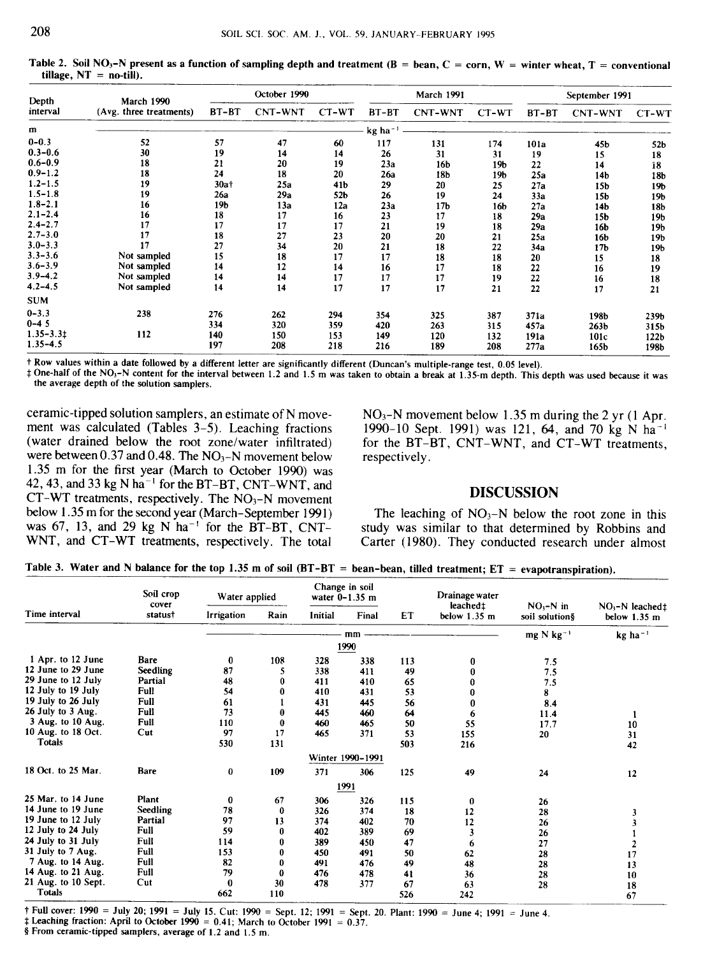Table 2. Soil NO<sub>3</sub>-N present as a function of sampling depth and treatment  $(B = bean, C = corn, W = winter wheat, T = conventional$ tillage,  $NT = no-till$ .

| Depth<br>interval | March 1990              | October 1990 |         |       | <b>March 1991</b>     |                 |                 | September 1991 |                  |                  |
|-------------------|-------------------------|--------------|---------|-------|-----------------------|-----------------|-----------------|----------------|------------------|------------------|
|                   | (Avg. three treatments) | $BT-BT$      | CNT-WNT | CT-WT | BT-BT                 | <b>CNT-WNT</b>  | CT-WT           | BT-BT          | CNT-WNT          | CT-WT            |
| m                 |                         |              |         |       | $kg$ ha <sup>-1</sup> |                 |                 |                |                  |                  |
| $0 - 0.3$         | 52                      | 57           | 47      | 60    | 117                   | 131             | 174             | 101a           | 45 <sub>b</sub>  | 52 <sub>b</sub>  |
| $0.3 - 0.6$       | 30                      | 19           | 14      | 14    | 26                    | 31              | 31              | 19             | 15               | 18               |
| $0.6 - 0.9$       | 18                      | 21           | 20      | 19    | 23a                   | 16b             | 19 <sub>b</sub> | 22             | 14               | 18               |
| $0.9 - 1.2$       | 18                      | 24           | 18      | 20    | 26a                   | 18b             | 19 <sub>b</sub> | 25a            | 14 <sub>b</sub>  | 18b              |
| $1.2 - 1.5$       | 19                      | 30at         | 25a     | 41b   | 29                    | 20              | 25              | 27a            | 15 <sub>b</sub>  | 19b              |
| $1.5 - 1.8$       | 19                      | 26a          | 29a     | 52b   | 26                    | 19              | 24              | 33a            | 15 <sub>b</sub>  | 19b              |
| $1.8 - 2.1$       | 16                      | 19b          | 13a     | 12a   | 23a                   | 17 <sub>b</sub> | 16b             | 27a            | 14b              | 18b              |
| $2.1 - 2.4$       | 16                      | 18           | 17      | 16    | 23                    | 17              | 18              | 29a            | 15 <sub>b</sub>  | 19Ь              |
| $2.4 - 2.7$       | 17                      | 17           | 17      | 17    | 21                    | 19              | 18              | 29a            | 16b              | 19b              |
| $2.7 - 3.0$       | 17                      | 18           | 27      | 23    | 20                    | 20              | 21              | 25a            | 16 <b>b</b>      | 19 <sub>b</sub>  |
| $3.0 - 3.3$       | 17                      | 27           | 34      | 20    | 21                    | 18              | 22              | 34a            | 17 <sub>b</sub>  | 19b              |
| $3.3 - 3.6$       | Not sampled             | 15           | 18      | 17    | 17                    | 18              | 18              | 20             | 15               | 18               |
| $3.6 - 3.9$       | Not sampled             | 14           | 12      | 14    | 16                    | 17              | 18              | 22             | 16               | 19               |
| $3.9 - 4.2$       | Not sampled             | 14           | 14      | 17    | 17                    | 17              | 19              | 22             | 16               | 18               |
| 4.2–4.5           | Not sampled             | 14           | 14      | 17    | 17                    | 17              | 21              | 22             | 17               | 21               |
| SUM               |                         |              |         |       |                       |                 |                 |                |                  |                  |
| $0 - 3.3$         | 238                     | 276          | 262     | 294   | 354                   | 325             | 387             | 371a           | 198b             | 239b             |
| 0-45              |                         | 334          | 320     | 359   | 420                   | 263             | 315             | 457a           | 263 <sub>b</sub> | 315b             |
| $1.35 - 3.31$     | 112                     | 140          | 150     | 153   | 149                   | 120             | 132             | 191a           | 101c             | 122 <sub>b</sub> |
| 1.35–4.5          |                         | 197          | 208     | 218   | 216                   | 189             | 208             | 277a           | 165b             | 198b             |

t Row values within a date followed by a different letter are significantly different (Duncan's multiple-range test, 0.05 level).

 $\ddagger$  One-half of the NO<sub>3</sub>-N content for the interval between 1.2 and 1.5 m was taken to obtain a break at 1.35-m depth. This depth was used because it was the average depth of the solution samplers.

ceramic-tipped solution samplers, an estimate of N movement was calculated (Tables 3-5). Leaching fractions (water drained below the root zone/water infiltrated) were between 0.37 and 0.48. The  $NO<sub>3</sub>-N$  movement below 1.35 m for the first year (March to October 1990) was 42, 43, and 33 kg N ha<sup> $-1$ </sup> for the BT-BT, CNT-WNT, and  $CT-WT$  treatments, respectively. The  $NO<sub>3</sub>-N$  movement below 1.35 m for the second year (March-September 1991) was 67, 13, and 29 kg N  $ha^{-1}$  for the BT-BT, CNT-WNT, and CT-WT treatments, respectively. The total

 $NO<sub>3</sub>-N$  movement below 1.35 m during the 2 yr (1 Apr. 1990-10 Sept. 1991) was 121, 64, and 70 kg N ha' for the BT-BT, CNT-WNT, and CT-WT treatments, respectively.

# DISCUSSION

The leaching of  $NO_3-N$  below the root zone in this study was similar to that determined by Robbins and Carter (1980). They conducted research under almost

Table 3. Water and N balance for the top 1.35 m of soil  $(BT-BT = bean-bean,$  tilled treatment;  $ET = evaporation$ ).

|                     | Soil crop<br>cover | Change in soil<br>Water applied<br>water $0-1.35$ m |          |         | Drainage water   |     |                                     |                              |                                             |
|---------------------|--------------------|-----------------------------------------------------|----------|---------|------------------|-----|-------------------------------------|------------------------------|---------------------------------------------|
| Time interval       | statust            | <b>Irrigation</b>                                   | Rain     | Initial | Final            | ET  | leached ±<br>below $1.35 \text{ m}$ | $NO3-N$ in<br>soil solution§ | $NO_3-N$ leached:<br>below $1.35 \text{ m}$ |
|                     |                    |                                                     |          |         | mm               |     |                                     | $mg \text{N kg}^{-1}$        | $kg$ ha <sup>-1</sup>                       |
|                     |                    |                                                     |          |         | 1990             |     |                                     |                              |                                             |
| 1 Apr. to 12 June   | Bare               | 0                                                   | 108      | 328     | 338              | 113 | 0                                   | 7.5                          |                                             |
| 12 June to 29 June  | Seedling           | 87                                                  | 5        | 338     | 411              | 49  | 0                                   | 7.5                          |                                             |
| 29 June to 12 July  | Partial            | 48                                                  | 0        | 411     | 410              | 65  |                                     | 7.5                          |                                             |
| 12 July to 19 July  | Full               | 54                                                  | 0        | 410     | 431              | 53  | 0                                   | 8                            |                                             |
| 19 July to 26 July  | Full               | 61                                                  |          | 431     | 445              | 56  |                                     | 8.4                          |                                             |
| 26 July to 3 Aug.   | Full               | 73                                                  | 0        | 445     | 460              | 64  | 6                                   | 11.4                         |                                             |
| 3 Aug. to 10 Aug.   | Full               | 110                                                 | $\bf{0}$ | 460     | 465              | 50  | 55                                  | 17.7                         | 10                                          |
| 10 Aug. to 18 Oct.  | Cut                | 97                                                  | 17       | 465     | 371              | 53  | 155                                 | 20                           | 31                                          |
| Totals              |                    | 530                                                 | 131      |         |                  | 503 | 216                                 |                              | 42                                          |
|                     |                    |                                                     |          |         | Winter 1990-1991 |     |                                     |                              |                                             |
| 18 Oct. to 25 Mar.  | Bare               | 0                                                   | 109      | 371     | 306              | 125 | 49                                  | 24                           | 12                                          |
|                     |                    |                                                     |          |         | 1991             |     |                                     |                              |                                             |
| 25 Mar. to 14 June  | Plant              | $\bf{0}$                                            | 67       | 306     | 326              | 115 | 0                                   | 26                           |                                             |
| 14 June to 19 June  | Seedling           | 78                                                  | 0        | 326     | 374              | 18  | 12                                  | 28                           | 3                                           |
| 19 June to 12 July  | Partial            | 97                                                  | 13       | 374     | 402              | 70  | 12                                  | 26                           |                                             |
| 12 July to 24 July  | Full               | 59                                                  | 0        | 402     | 389              | 69  | $\overline{\mathbf{3}}$             | 26                           |                                             |
| 24 July to 31 July  | Full               | 114                                                 |          | 389     | 450              | 47  | 6                                   | 27                           | 2                                           |
| 31 July to 7 Aug.   | Full               | 153                                                 | 0        | 450     | 491              | 50  | 62                                  | 28                           | 17                                          |
| 7 Aug. to 14 Aug.   | Full               | 82                                                  | 0        | 491     | 476              | 49  | 48                                  | 28                           | 13                                          |
| 14 Aug. to 21 Aug.  | Full               | 79                                                  | 0        | 476     | 478              | 41  | 36                                  | 28                           | 10                                          |
| 21 Aug. to 10 Sept. | Cut                | 0                                                   | 30       | 478     | 377              | 67  | 63                                  | 28                           | 18                                          |
| <b>Totals</b>       |                    | 662                                                 | 110      |         |                  | 526 | 242                                 |                              | 67                                          |

t Full cover: 1990 = July 20; 1991 = July 15. Cut: 1990 = Sept. 12; 1991 = Sept. 20. Plant: 1990 = June 4; 1991 = June 4.

 $\ddagger$  Leaching fraction: April to October 1990 = 0.41; March to October 1991 = 0.37. § From ceramic-tipped samplers, average of 1.2 and 1.5 m.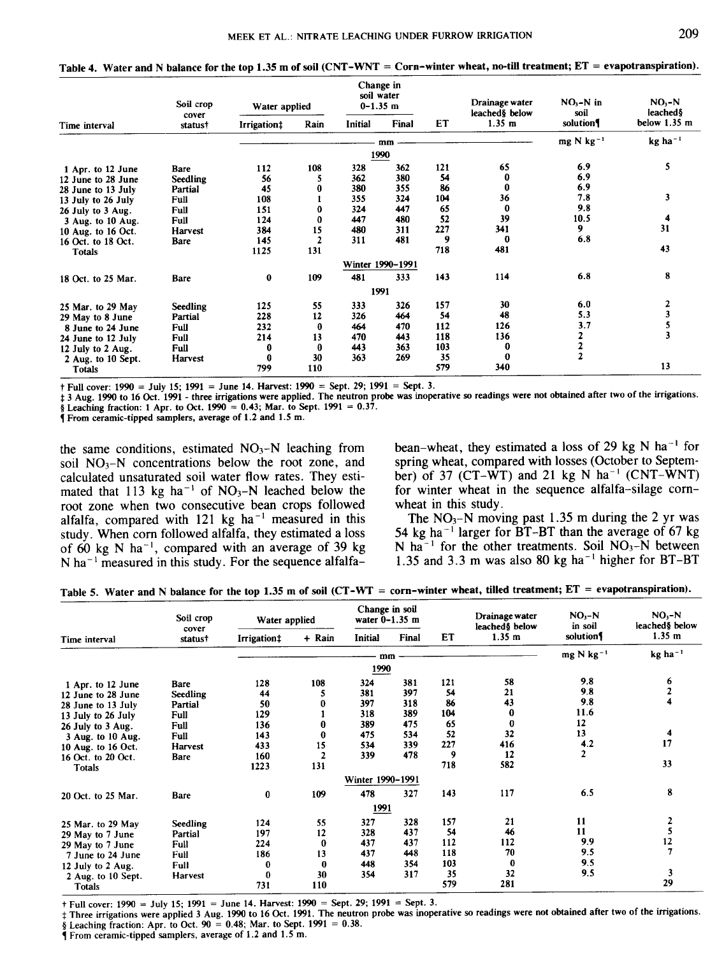Table 4. Water and N balance for the top 1.35 m of soil (CNT -WNT = Corn-winter wheat, no-till treatment; ET = evapotranspiration).

|                    | Soil crop<br>cover | Change in<br>soil water<br>$0 - 1.35$ m<br>Water applied |                |         | Drainage water<br>leached & below | $NO3-N$ in<br>soil | $NO1 - N$<br>leached § |                         |                       |
|--------------------|--------------------|----------------------------------------------------------|----------------|---------|-----------------------------------|--------------------|------------------------|-------------------------|-----------------------|
| Time interval      | status†            | Irrigation‡                                              | Rain           | Initial | Final                             | ET                 | 1.35 m                 | solution                | below 1.35 m          |
|                    |                    |                                                          |                |         | mm                                |                    |                        | $mg$ N kg <sup>-1</sup> | $kg$ ha <sup>-1</sup> |
|                    |                    |                                                          |                |         | 1990                              |                    |                        |                         |                       |
| 1 Apr. to 12 June  | Bare               | 112                                                      | 108            | 328     | 362                               | 121                | 65                     | 6.9                     | 5.                    |
| 12 June to 28 June | <b>Seedling</b>    | 56                                                       |                | 362     | 380                               | 54                 | 0                      | 6.9                     |                       |
| 28 June to 13 July | Partial            | 45                                                       | 0              | 380     | 355                               | 86                 | $\bf{0}$               | 6.9                     |                       |
| 13 July to 26 July | Full               | 108                                                      |                | 355     | 324                               | 104                | 36                     | 7.8                     | 3                     |
| 26 July to 3 Aug.  | Full               | 151                                                      | $\bf{0}$       | 324     | 447                               | 65                 | $\bf{0}$               | 9.8                     |                       |
| 3 Aug. to 10 Aug.  | Full               | 124                                                      | 0              | 447     | 480                               | 52                 | 39                     | 10.5                    | 4                     |
| 10 Aug. to 16 Oct. | <b>Harvest</b>     | 384                                                      | 15             | 480     | 311                               | 227                | 341                    | 9.                      | 31                    |
| 16 Oct. to 18 Oct. | Bare               | 145                                                      | $\overline{2}$ | 311     | 481                               | 9                  | $\bf{0}$               | 6.8                     |                       |
| <b>Totals</b>      |                    | 1125                                                     | 131            |         |                                   | 718                | 481                    |                         | 43                    |
|                    |                    |                                                          |                |         | Winter 1990-1991                  |                    |                        |                         |                       |
| 18 Oct. to 25 Mar. | <b>Bare</b>        | $\bf{0}$                                                 | 109            | 481     | 333                               | 143                | 114                    | 6.8                     | 8                     |
|                    |                    |                                                          |                | 1991    |                                   |                    |                        |                         |                       |
| 25 Mar. to 29 May  | Seedling           | 125                                                      | 55             | 333     | 326                               | 157                | 30                     | 6.0                     | 2                     |
| 29 May to 8 June   | Partial            | 228                                                      | 12             | 326     | 464                               | 54                 | 48                     | 5.3                     |                       |
| 8 June to 24 June  | <b>Full</b>        | 232                                                      | $\bf{0}$       | 464     | 470                               | 112                | 126                    | 3.7                     |                       |
| 24 June to 12 July | Full               | 214                                                      | 13             | 470     | 443                               | 118                | 136                    | 2                       |                       |
| 12 July to 2 Aug.  | Full               | 0                                                        | $\bf{0}$       | 443     | 363                               | 103                | 0                      | $\frac{2}{2}$           |                       |
| 2 Aug. to 10 Sept. | Harvest            | 0                                                        | 30             | 363     | 269                               | 35                 | $\bf{0}$               |                         |                       |
| <b>Totals</b>      |                    | 799                                                      | 110            |         |                                   | 579                | 340                    |                         | 13                    |

t Full cover: 1990 = July 15; 1991 = June 14. Harvest: 1990 = Sept. 29; 1991 = Sept. 3.

3 Aug. 1990 to 16 Oct. 1991 - three irrigations were applied. The neutron probe was inoperative so readings were not obtained after two of the irrigations. § Leaching fraction: 1 Apr. to Oct. 1990 = 0.43; Mar. to Sept. 1991 = 0.37.

I From ceramic-tipped samplers, average of 1.2 and 1.5 m.

the same conditions, estimated  $NO<sub>3</sub>-N$  leaching from soil  $NO<sub>3</sub>-N$  concentrations below the root zone, and calculated unsaturated soil water flow rates. They estimated that  $113$  kg ha<sup>-1</sup> of NO<sub>3</sub>-N leached below the root zone when two consecutive bean crops followed alfalfa, compared with  $121$  kg ha<sup>-1</sup> measured in this study. When corn followed alfalfa, they estimated a loss of 60 kg N ha<sup>-1</sup>, compared with an average of 39 kg N ha<sup> $-1$ </sup> measured in this study. For the sequence alfalfabean-wheat, they estimated a loss of 29 kg N ha<sup>-1</sup> for spring wheat, compared with losses (October to September) of 37 (CT-WT) and 21 kg N ha<sup>-1</sup> (CNT-WNT) for winter wheat in the sequence alfalfa-silage cornwheat in this study.

The  $NO<sub>3</sub>-N$  moving past 1.35 m during the 2 yr was 54 kg ha<sup> $-1$ </sup> larger for BT-BT than the average of 67 kg N ha<sup>-1</sup> for the other treatments. Soil  $NO<sub>3</sub>-N$  between 1.35 and 3.3 m was also 80 kg ha<sup>-1</sup> higher for BT-BT

|  |  |  |  |  |  |  | Table 5. Water and N balance for the top 1.35 m of soil (CT-WT = corn-winter wheat, tilled treatment; $ET =$ evapotranspiration). |
|--|--|--|--|--|--|--|-----------------------------------------------------------------------------------------------------------------------------------|
|--|--|--|--|--|--|--|-----------------------------------------------------------------------------------------------------------------------------------|

|                    | Soil crop        | Water applied |              | Change in soil<br>water $0-1.35$ m |       |     | Drainage water<br>leached <sup>§</sup> below | $NO - N$<br>in soil | $NO - N$<br>leached <sup>§</sup> below |
|--------------------|------------------|---------------|--------------|------------------------------------|-------|-----|----------------------------------------------|---------------------|----------------------------------------|
| Time interval      | cover<br>status† | Irrigation:   | + Rain       | <b>Initial</b>                     | Final | ET  | 1.35 m                                       | solution            | 1.35 m                                 |
|                    |                  |               |              | mm                                 |       |     |                                              | mg N kg $^{-1}$     | kg ha <sup>-1</sup>                    |
|                    |                  |               |              | 1990                               |       |     |                                              |                     |                                        |
| 1 Apr. to 12 June  | Bare             | 128           | 108          | 324                                | 381   | 121 | 58                                           | 9.8                 | 6                                      |
| 12 June to 28 June | Seedling         | 44            |              | 381                                | 397   | 54  | 21                                           | 9.8                 |                                        |
| 28 June to 13 July | Partial          | 50            |              | 397                                | 318   | 86  | 43                                           | 9.8                 |                                        |
| 13 July to 26 July | Full             | 129           |              | 318                                | 389   | 104 | 0                                            | 11.6                |                                        |
| 26 July to 3 Aug.  | Full             | 136           | 0            | 389                                | 475   | 65  | 0                                            | 12                  |                                        |
| 3 Aug. to 10 Aug.  | <b>Full</b>      | 143           | $\bf{0}$     | 475                                | 534   | 52  | 32                                           | 13                  | 4                                      |
| 10 Aug. to 16 Oct. | <b>Harvest</b>   | 433           | 15           | 534                                | 339   | 227 | 416                                          | 4.2                 | 17                                     |
| 16 Oct. to 20 Oct. | Bare             | 160           | $\mathbf{z}$ | 339                                | 478   | 9   | 12                                           | $\mathbf{r}$        |                                        |
| <b>Totals</b>      |                  | 1223          | 131          |                                    |       | 718 | 582                                          |                     | 33                                     |
|                    |                  |               |              | Winter 1990-1991                   |       |     |                                              |                     |                                        |
| 20 Oct. to 25 Mar. | Bare             | $\bf{0}$      | 109          | 478                                | 327   | 143 | 117                                          | 6.5                 | 8                                      |
|                    |                  |               |              | 1991                               |       |     |                                              |                     |                                        |
| 25 Mar. to 29 May  | Seedling         | 124           | 55           | 327                                | 328   | 157 | 21                                           | 11                  | 2                                      |
| 29 May to 7 June   | Partial          | 197           | 12           | 328                                | 437   | 54  | 46                                           | 11                  |                                        |
| 29 May to 7 June   | Full             | 224           | 0            | 437                                | 437   | 112 | 112                                          | 9.9                 | 12                                     |
| 7 June to 24 June  | Full             | 186           | 13           | 437                                | 448   | 118 | 70                                           | 9.5                 |                                        |
| 12 July to 2 Aug.  | Full             | 0             | $\bf{0}$     | 448                                | 354   | 103 | $\bf{0}$                                     | 9.5                 |                                        |
| 2 Aug. to 10 Sept. | <b>Harvest</b>   | $\bf{0}$      | 30           | 354                                | 317   | 35  | 32                                           | 9.5                 | 3                                      |
| <b>Totals</b>      |                  | 731           | 110          |                                    |       | 579 | 281                                          |                     | 29                                     |

t Full cover: 1990 = July 15; 1991 = June 14. Harvest: 1990 = Sept. 29; 1991 = Sept. 3.

Three irrigations were applied 3 Aug. 1990 to 16 Oct. 1991. The neutron probe was inoperative so readings were not obtained after two of the irrigations.

§ Leaching fraction: Apr. to Oct.  $90 = 0.48$ ; Mar. to Sept. 1991 = 0.38.

1 From ceramic-tipped samplers, average of 1.2 and 1.5 m.